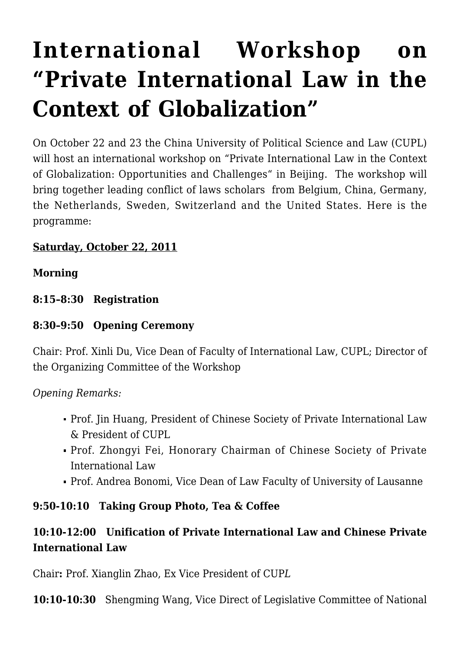# **[International Workshop on](https://conflictoflaws.net/2011/international-workshop-on-private-international-law-in-the-context-of-globalization/) ["Private International Law in the](https://conflictoflaws.net/2011/international-workshop-on-private-international-law-in-the-context-of-globalization/) [Context of Globalization"](https://conflictoflaws.net/2011/international-workshop-on-private-international-law-in-the-context-of-globalization/)**

On October 22 and 23 the China University of Political Science and Law (CUPL) will host an international workshop on "Private International Law in the Context of Globalization: Opportunities and Challenges" in Beijing. The workshop will bring together leading conflict of laws scholars from Belgium, China, Germany, the Netherlands, Sweden, Switzerland and the United States. Here is the programme:

#### **Saturday, October 22, 2011**

#### **Morning**

**8:15–8:30 Registration**

#### **8:30–9:50 Opening Ceremony**

Chair: Prof. Xinli Du, Vice Dean of Faculty of International Law, CUPL; Director of the Organizing Committee of the Workshop

*Opening Remarks:*

- Prof. Jin Huang, President of Chinese Society of Private International Law & President of CUPL
- Prof. Zhongyi Fei, Honorary Chairman of Chinese Society of Private International Law
- Prof. Andrea Bonomi, Vice Dean of Law Faculty of University of Lausanne

#### **9:50-10:10 Taking Group Photo, Tea & Coffee**

## **10:10-12:00 Unification of Private International Law and Chinese Private International Law**

Chair**:** Prof. Xianglin Zhao, Ex Vice President of CUP*L*

**10:10-10:30** Shengming Wang, Vice Direct of Legislative Committee of National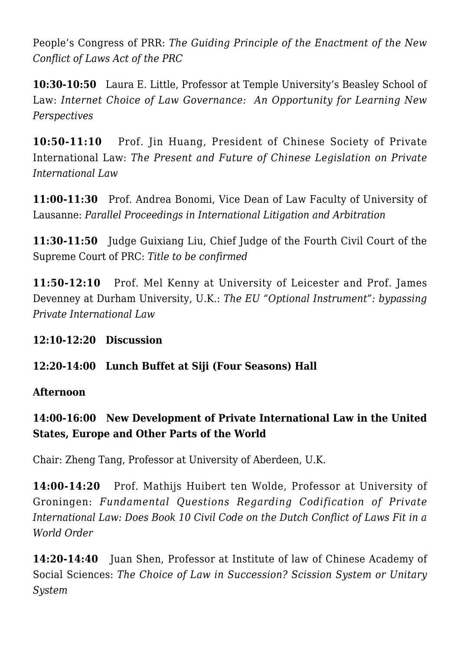People's Congress of PRR: *The Guiding Principle of the Enactment of the New Conflict of Laws Act of the PRC*

**10:30-10:50** Laura E. Little, Professor at Temple University's Beasley School of Law: *Internet Choice of Law Governance: An Opportunity for Learning New Perspectives*

**10:50-11:10** Prof. Jin Huang, President of Chinese Society of Private International Law: *The Present and Future of Chinese Legislation on Private International Law*

**11:00-11:30** Prof. Andrea Bonomi, Vice Dean of Law Faculty of University of Lausanne: *Parallel Proceedings in International Litigation and Arbitration*

**11:30-11:50** Judge Guixiang Liu, Chief Judge of the Fourth Civil Court of the Supreme Court of PRC: *Title to be confirmed*

**11:50-12:10** Prof. Mel Kenny at University of Leicester and Prof. James Devenney at Durham University, U.K.: *The EU "Optional Instrument": bypassing Private International Law*

#### **12:10-12:20 Discussion**

#### **12:20-14:00 Lunch Buffet at Siji (Four Seasons) Hall**

#### **Afternoon**

# **14:00-16:00 New Development of Private International Law in the United States, Europe and Other Parts of the World**

Chair: Zheng Tang, Professor at University of Aberdeen, U.K.

**14:00-14:20** Prof. Mathijs Huibert ten Wolde, Professor at University of Groningen: *Fundamental Questions Regarding Codification of Private International Law: Does Book 10 Civil Code on the Dutch Conflict of Laws Fit in a World Order*

**14:20-14:40** Juan Shen, Professor at Institute of law of Chinese Academy of Social Sciences: *The Choice of Law in Succession? Scission System or Unitary System*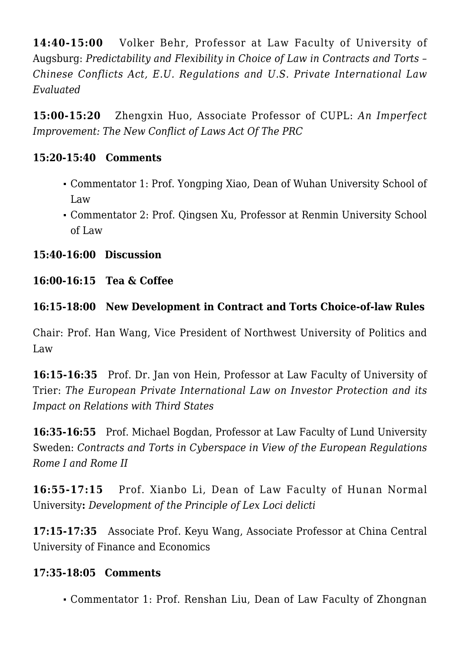**14:40-15:00** Volker Behr, Professor at Law Faculty of University of Augsburg: *Predictability and Flexibility in Choice of Law in Contracts and Torts – Chinese Conflicts Act, E.U. Regulations and U.S. Private International Law Evaluated*

**15:00-15:20** Zhengxin Huo, Associate Professor of CUPL: *An Imperfect Improvement: The New Conflict of Laws Act Of The PRC*

#### **15:20-15:40 Comments**

- Commentator 1: Prof. Yongping Xiao, Dean of Wuhan University School of Law
- Commentator 2: Prof. Qingsen Xu, Professor at Renmin University School of Law

**15:40-16:00 Discussion**

**16:00-16:15 Tea & Coffee**

## **16:15-18:00 New Development in Contract and Torts Choice-of-law Rules**

Chair: Prof. Han Wang, Vice President of Northwest University of Politics and Law

**16:15-16:35** Prof. Dr. Jan von Hein, Professor at Law Faculty of University of Trier: *The European Private International Law on Investor Protection and its Impact on Relations with Third States*

**16:35-16:55** Prof. Michael Bogdan, Professor at Law Faculty of Lund University Sweden: *Contracts and Torts in Cyberspace in View of the European Regulations Rome I and Rome II*

**16:55-17:15** Prof. Xianbo Li, Dean of Law Faculty of Hunan Normal University**:** *Development of the Principle of Lex Loci delicti*

**17:15-17:35** Associate Prof. Keyu Wang, Associate Professor at China Central University of Finance and Economics

## **17:35-18:05 Comments**

Commentator 1: Prof. Renshan Liu, Dean of Law Faculty of Zhongnan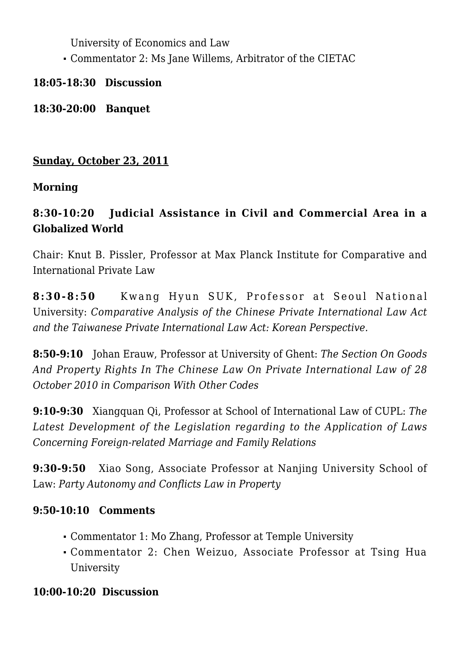University of Economics and Law

Commentator 2: Ms Jane Willems, Arbitrator of the CIETAC

**18:05-18:30 Discussion**

**18:30-20:00 Banquet**

## **Sunday, October 23, 2011**

## **Morning**

# **8:30-10:20 Judicial Assistance in Civil and Commercial Area in a Globalized World**

Chair: Knut B. Pissler, Professor at Max Planck Institute for Comparative and International Private Law

**8:30-8:50** Kwang Hyun SUK, Professor at Seoul National University: *Comparative Analysis of the Chinese Private International Law Act and the Taiwanese Private International Law Act: Korean Perspective.*

**8:50-9:10** Johan Erauw, Professor at University of Ghent: *The Section On Goods And Property Rights In The Chinese Law On Private International Law of 28 October 2010 in Comparison With Other Codes*

**9:10-9:30** Xiangquan Qi, Professor at School of International Law of CUPL: *The Latest Development of the Legislation regarding to the Application of Laws Concerning Foreign-related Marriage and Family Relations*

**9:30-9:50** Xiao Song, Associate Professor at Nanjing University School of Law: *Party Autonomy and Conflicts Law in Property*

## **9:50-10:10 Comments**

- Commentator 1: Mo Zhang, Professor at Temple University
- Commentator 2: Chen Weizuo, Associate Professor at Tsing Hua University

## **10:00-10:20 Discussion**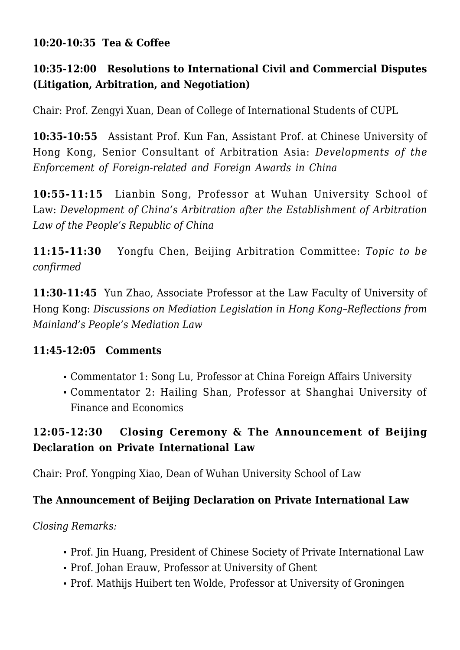#### **10:20-10:35 Tea & Coffee**

## **10:35-12:00 Resolutions to International Civil and Commercial Disputes (Litigation, Arbitration, and Negotiation)**

Chair: Prof. Zengyi Xuan, Dean of College of International Students of CUPL

**10:35-10:55** Assistant Prof. Kun Fan, Assistant Prof. at Chinese University of Hong Kong, Senior Consultant of Arbitration Asia: *Developments of the Enforcement of Foreign-related and Foreign Awards in China*

**10:55-11:15** Lianbin Song, Professor at Wuhan University School of Law: *Development of China's Arbitration after the Establishment of Arbitration Law of the People's Republic of China* 

**11:15-11:30** Yongfu Chen, Beijing Arbitration Committee: *Topic to be confirmed*

**11:30-11:45** Yun Zhao, Associate Professor at the Law Faculty of University of Hong Kong: *Discussions on Mediation Legislation in Hong Kong–Reflections from Mainland's People's Mediation Law*

## **11:45-12:05 Comments**

- Commentator 1: Song Lu, Professor at China Foreign Affairs University
- Commentator 2: Hailing Shan, Professor at Shanghai University of Finance and Economics

# **12:05-12:30 Closing Ceremony & The Announcement of Beijing Declaration on Private International Law**

Chair: Prof. Yongping Xiao, Dean of Wuhan University School of Law

## **The Announcement of Beijing Declaration on Private International Law**

*Closing Remarks:*

- Prof. Jin Huang, President of Chinese Society of Private International Law
- Prof. Johan Erauw, Professor at University of Ghent
- Prof. Mathijs Huibert ten Wolde, Professor at University of Groningen